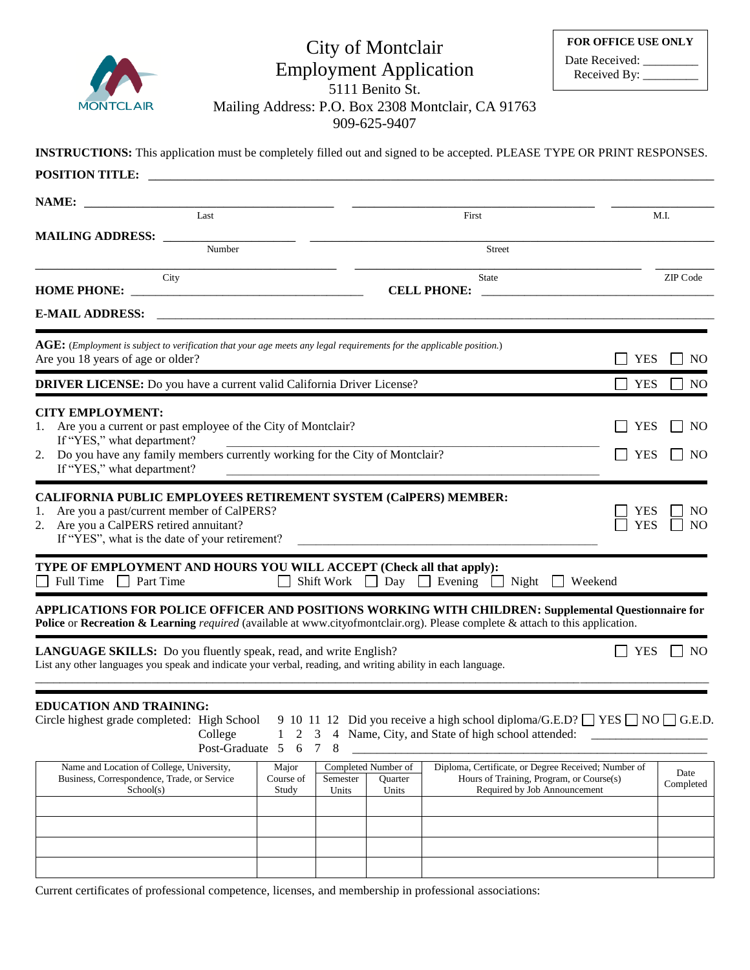

## City of Montclair Employment Application 5111 Benito St.

Mailing Address: P.O. Box 2308 Montclair, CA 91763

| 909-625-9407                                                                                                                   |
|--------------------------------------------------------------------------------------------------------------------------------|
|                                                                                                                                |
| <b>INSTRUCTIONS:</b> This application must be completely filled out and signed to be accepted. PLEASE TYPE OR PRINT RESPONSES. |

| POSITION TITLE:                                                                                                                                                                                                                                                                                |                                                                      |                                         |                                                                                                                                                |                   |                   |
|------------------------------------------------------------------------------------------------------------------------------------------------------------------------------------------------------------------------------------------------------------------------------------------------|----------------------------------------------------------------------|-----------------------------------------|------------------------------------------------------------------------------------------------------------------------------------------------|-------------------|-------------------|
| NAME:                                                                                                                                                                                                                                                                                          |                                                                      |                                         |                                                                                                                                                |                   |                   |
| Last                                                                                                                                                                                                                                                                                           |                                                                      |                                         | First                                                                                                                                          |                   | M.I.              |
| <b>MAILING ADDRESS:</b><br>Number                                                                                                                                                                                                                                                              |                                                                      |                                         | <b>Street</b>                                                                                                                                  |                   |                   |
| City                                                                                                                                                                                                                                                                                           |                                                                      |                                         | <b>State</b>                                                                                                                                   |                   | ZIP Code          |
| <b>HOME PHONE:</b><br><u> 1989 - Johann Harry Barn, mars ar breithinn ar breithinn an t-Alban ann an t-Alban ann an t-Alban ann an t-Alb</u><br><b>E-MAIL ADDRESS:</b>                                                                                                                         | <u> 1980 - Johann Barn, mars an t-Amerikaansk politiker (* 1908)</u> |                                         | <b>CELL PHONE:</b>                                                                                                                             |                   |                   |
|                                                                                                                                                                                                                                                                                                |                                                                      |                                         |                                                                                                                                                |                   |                   |
| $\overline{\text{AGE}}$ : (Employment is subject to verification that your age meets any legal requirements for the applicable position.)<br>Are you 18 years of age or older?                                                                                                                 |                                                                      |                                         |                                                                                                                                                | <b>YES</b>        | N <sub>O</sub>    |
| <b>DRIVER LICENSE:</b> Do you have a current valid California Driver License?                                                                                                                                                                                                                  |                                                                      |                                         |                                                                                                                                                | <b>YES</b>        | NO                |
| <b>CITY EMPLOYMENT:</b>                                                                                                                                                                                                                                                                        |                                                                      |                                         |                                                                                                                                                |                   |                   |
| Are you a current or past employee of the City of Montclair?<br>1.<br>If "YES," what department?                                                                                                                                                                                               |                                                                      |                                         |                                                                                                                                                | <b>YES</b>        | N <sub>O</sub>    |
| 2. Do you have any family members currently working for the City of Montclair?<br><b>YES</b><br>If "YES," what department?                                                                                                                                                                     |                                                                      |                                         |                                                                                                                                                |                   | NO.               |
| <b>CALIFORNIA PUBLIC EMPLOYEES RETIREMENT SYSTEM (CalPERS) MEMBER:</b><br>Are you a past/current member of CalPERS?<br>1.<br>2. Are you a CalPERS retired annuitant?<br>If "YES", what is the date of your retirement?<br>TYPE OF EMPLOYMENT AND HOURS YOU WILL ACCEPT (Check all that apply): |                                                                      |                                         |                                                                                                                                                | YES<br><b>YES</b> | NO<br><b>NO</b>   |
| Full Time Part Time                                                                                                                                                                                                                                                                            | $\Box$                                                               |                                         | Shift Work $\Box$ Day $\Box$ Evening $\Box$ Night                                                                                              | Weekend           |                   |
| APPLICATIONS FOR POLICE OFFICER AND POSITIONS WORKING WITH CHILDREN: Supplemental Questionnaire for<br>Police or Recreation & Learning required (available at www.cityofmontclair.org). Please complete & attach to this application.                                                          |                                                                      |                                         |                                                                                                                                                |                   |                   |
| <b>LANGUAGE SKILLS:</b> Do you fluently speak, read, and write English?<br>List any other languages you speak and indicate your verbal, reading, and writing ability in each language.                                                                                                         |                                                                      |                                         |                                                                                                                                                | <b>YES</b>        | N <sub>O</sub>    |
| <b>EDUCATION AND TRAINING:</b><br>Circle highest grade completed: High School<br>College<br>Post-Graduate 5 6                                                                                                                                                                                  | $\mathbf{1}$<br>3<br>8<br>$7\phantom{.0}$                            |                                         | 9 10 11 12 Did you receive a high school diploma/G.E.D? $\Box$ YES $\Box$ NO $\Box$ G.E.D.<br>4 Name, City, and State of high school attended: |                   |                   |
| Name and Location of College, University,<br>Business, Correspondence, Trade, or Service<br>School(s)                                                                                                                                                                                          | Major<br>Course of<br>Semester<br>Study<br>Units                     | Completed Number of<br>Quarter<br>Units | Diploma, Certificate, or Degree Received; Number of<br>Hours of Training, Program, or Course(s)<br>Required by Job Announcement                |                   | Date<br>Completed |
|                                                                                                                                                                                                                                                                                                |                                                                      |                                         |                                                                                                                                                |                   |                   |
|                                                                                                                                                                                                                                                                                                |                                                                      |                                         |                                                                                                                                                |                   |                   |
|                                                                                                                                                                                                                                                                                                |                                                                      |                                         |                                                                                                                                                |                   |                   |

Current certificates of professional competence, licenses, and membership in professional associations: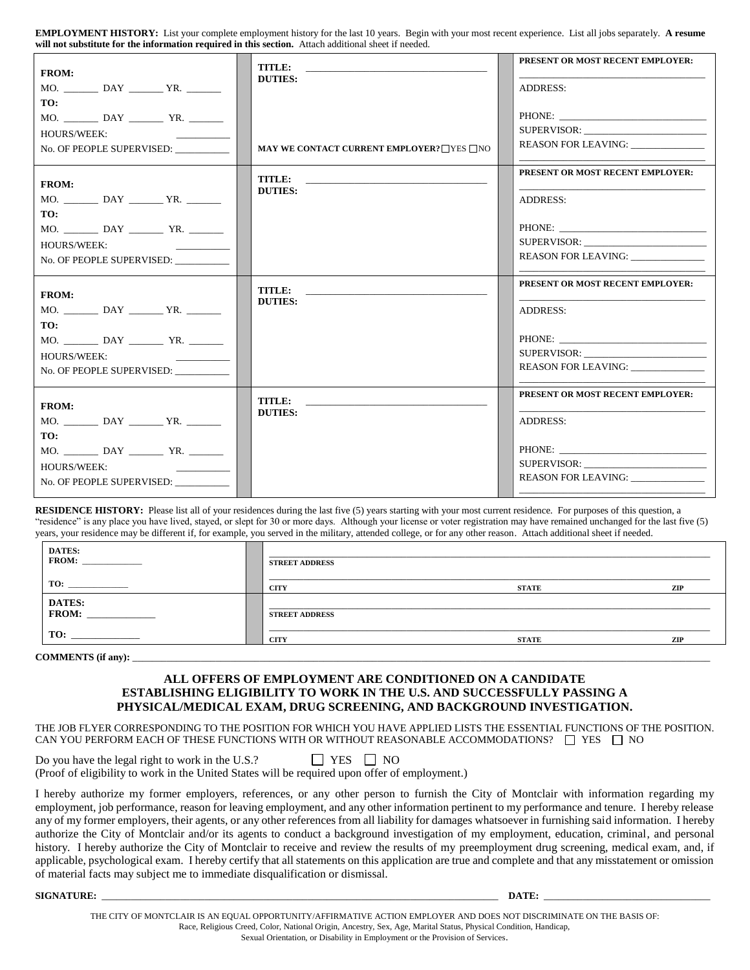**EMPLOYMENT HISTORY:** List your complete employment history for the last 10 years. Begin with your most recent experience. List all jobs separately. **A resume will not substitute for the information required in this section.** Attach additional sheet if needed.

| <b>FROM:</b><br>MO. DAY YR.<br>TO:<br><b>HOURS/WEEK:</b><br>the control of the control of<br>No. OF PEOPLE SUPERVISED:                                                                                      | <b>TITLE:</b><br><b>DUTIES:</b><br>MAY WE CONTACT CURRENT EMPLOYER? THES THO | PRESENT OR MOST RECENT EMPLOYER:<br><b>ADDRESS:</b><br>SUPERVISOR:<br><b>REASON FOR LEAVING:</b>         |
|-------------------------------------------------------------------------------------------------------------------------------------------------------------------------------------------------------------|------------------------------------------------------------------------------|----------------------------------------------------------------------------------------------------------|
| <b>FROM:</b><br>TO:<br>$MO.$ DAY $Y$ YR.<br>HOURS/WEEK:<br>No. OF PEOPLE SUPERVISED:                                                                                                                        | TITLE:<br><b>DUTIES:</b>                                                     | <b>PRESENT OR MOST RECENT EMPLOYER:</b><br><b>ADDRESS:</b><br>SUPERVISOR:<br>REASON FOR LEAVING:         |
| <b>FROM:</b><br>MO. DAY YR.<br>TO:<br><b>HOURS/WEEK:</b><br>No. OF PEOPLE SUPERVISED:                                                                                                                       | <b>TITLE:</b><br><b>DUTIES:</b>                                              | PRESENT OR MOST RECENT EMPLOYER:<br><b>ADDRESS:</b><br>SUPERVISOR:<br>REASON FOR LEAVING: ______________ |
| <b>FROM:</b><br>TO:<br><b>HOURS/WEEK:</b><br><u> 1990 - John Harrison, mars and de la partie de la partie de la partie de la partie de la partie de la partie d</u><br>No. OF PEOPLE SUPERVISED: __________ | TITLE:<br><b>DUTIES:</b>                                                     | PRESENT OR MOST RECENT EMPLOYER:<br><b>ADDRESS:</b><br>REASON FOR LEAVING: ______________                |

RESIDENCE HISTORY: Please list all of your residences during the last five (5) years starting with your most current residence. For purposes of this question, a "residence" is any place you have lived, stayed, or slept for 30 or more days. Although your license or voter registration may have remained unchanged for the last five (5) years, your residence may be different if, for example, you served in the military, attended college, or for any other reason. Attach additional sheet if needed.

| DATES:<br>FROM: | <b>STREET ADDRESS</b> |              |     |
|-----------------|-----------------------|--------------|-----|
| TO:             | <b>CITY</b>           | <b>STATE</b> | ZIP |
| DATES:<br>FROM: | <b>STREET ADDRESS</b> |              |     |
| TO:             | CITY                  | <b>STATE</b> | ZIP |

COMMENTS (if any):

 $\Gamma$ 

#### **ALL OFFERS OF EMPLOYMENT ARE CONDITIONED ON A CANDIDATE ESTABLISHING ELIGIBILITY TO WORK IN THE U.S. AND SUCCESSFULLY PASSING A PHYSICAL/MEDICAL EXAM, DRUG SCREENING, AND BACKGROUND INVESTIGATION.**

THE JOB FLYER CORRESPONDING TO THE POSITION FOR WHICH YOU HAVE APPLIED LISTS THE ESSENTIAL FUNCTIONS OF THE POSITION. CAN YOU PERFORM EACH OF THESE FUNCTIONS WITH OR WITHOUT REASONABLE ACCOMMODATIONS?  $\Box$  YES  $\Box$  NO

Do you have the legal right to work in the U.S.?  $\Box$  YES  $\Box$  NO (Proof of eligibility to work in the United States will be required upon offer of employment.)

Н

I hereby authorize my former employers, references, or any other person to furnish the City of Montclair with information regarding my employment, job performance, reason for leaving employment, and any other information pertinent to my performance and tenure. I hereby release any of my former employers, their agents, or any other references from all liability for damages whatsoever in furnishing said information. I hereby authorize the City of Montclair and/or its agents to conduct a background investigation of my employment, education, criminal, and personal history. I hereby authorize the City of Montclair to receive and review the results of my preemployment drug screening, medical exam, and, if applicable, psychological exam. I hereby certify that all statements on this application are true and complete and that any misstatement or omission of material facts may subject me to immediate disqualification or dismissal.

**SIGNATURE:** \_\_\_\_\_\_\_\_\_\_\_\_\_\_\_\_\_\_\_\_\_\_\_\_\_\_\_\_\_\_\_\_\_\_\_\_\_\_\_\_\_\_\_\_\_\_\_\_\_\_\_\_\_\_\_\_\_\_\_\_\_\_\_\_\_\_\_\_\_\_\_\_\_\_\_\_\_\_\_\_\_ **DATE:** \_\_\_\_\_\_\_\_\_\_\_\_\_\_\_\_\_\_\_\_\_\_\_\_\_\_\_\_\_\_\_\_\_\_

THE CITY OF MONTCLAIR IS AN EQUAL OPPORTUNITY/AFFIRMATIVE ACTION EMPLOYER AND DOES NOT DISCRIMINATE ON THE BASIS OF: Race, Religious Creed, Color, National Origin, Ancestry, Sex, Age, Marital Status, Physical Condition, Handicap, Sexual Orientation, or Disability in Employment or the Provision of Services.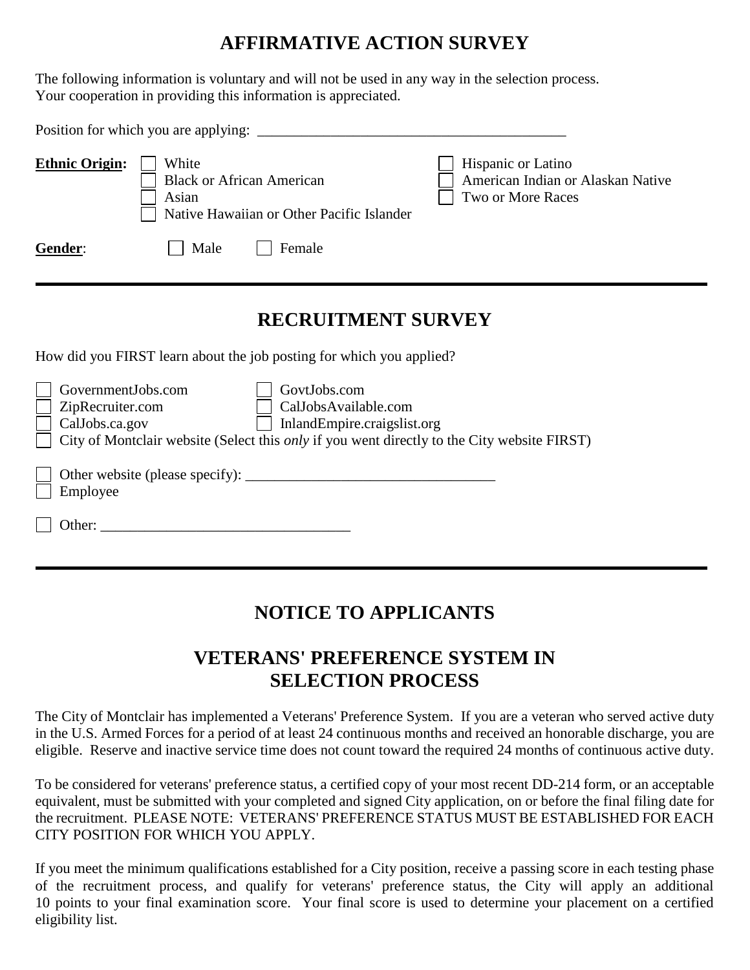# **AFFIRMATIVE ACTION SURVEY**

The following information is voluntary and will not be used in any way in the selection process. Your cooperation in providing this information is appreciated.

| <b>Ethnic Origin:</b>                                    | White<br>Asian | <b>Black or African American</b><br>Native Hawaiian or Other Pacific Islander | Hispanic or Latino<br>American Indian or Alaskan Native<br>Two or More Races                       |  |  |
|----------------------------------------------------------|----------------|-------------------------------------------------------------------------------|----------------------------------------------------------------------------------------------------|--|--|
| Gender:                                                  | Male           | Female                                                                        |                                                                                                    |  |  |
|                                                          |                | <b>RECRUITMENT SURVEY</b>                                                     |                                                                                                    |  |  |
|                                                          |                | How did you FIRST learn about the job posting for which you applied?          |                                                                                                    |  |  |
| GovernmentJobs.com<br>ZipRecruiter.com<br>CalJobs.ca.gov |                | GovtJobs.com<br>CalJobsAvailable.com<br>InlandEmpire.craigslist.org           | City of Montclair website (Select this <i>only</i> if you went directly to the City website FIRST) |  |  |
| Employee                                                 |                |                                                                               |                                                                                                    |  |  |
| Other:                                                   |                |                                                                               |                                                                                                    |  |  |

# **NOTICE TO APPLICANTS**

# **VETERANS' PREFERENCE SYSTEM IN SELECTION PROCESS**

The City of Montclair has implemented a Veterans' Preference System. If you are a veteran who served active duty in the U.S. Armed Forces for a period of at least 24 continuous months and received an honorable discharge, you are eligible. Reserve and inactive service time does not count toward the required 24 months of continuous active duty.

To be considered for veterans' preference status, a certified copy of your most recent DD-214 form, or an acceptable equivalent, must be submitted with your completed and signed City application, on or before the final filing date for the recruitment. PLEASE NOTE: VETERANS' PREFERENCE STATUS MUST BE ESTABLISHED FOR EACH CITY POSITION FOR WHICH YOU APPLY.

If you meet the minimum qualifications established for a City position, receive a passing score in each testing phase of the recruitment process, and qualify for veterans' preference status, the City will apply an additional 10 points to your final examination score. Your final score is used to determine your placement on a certified eligibility list.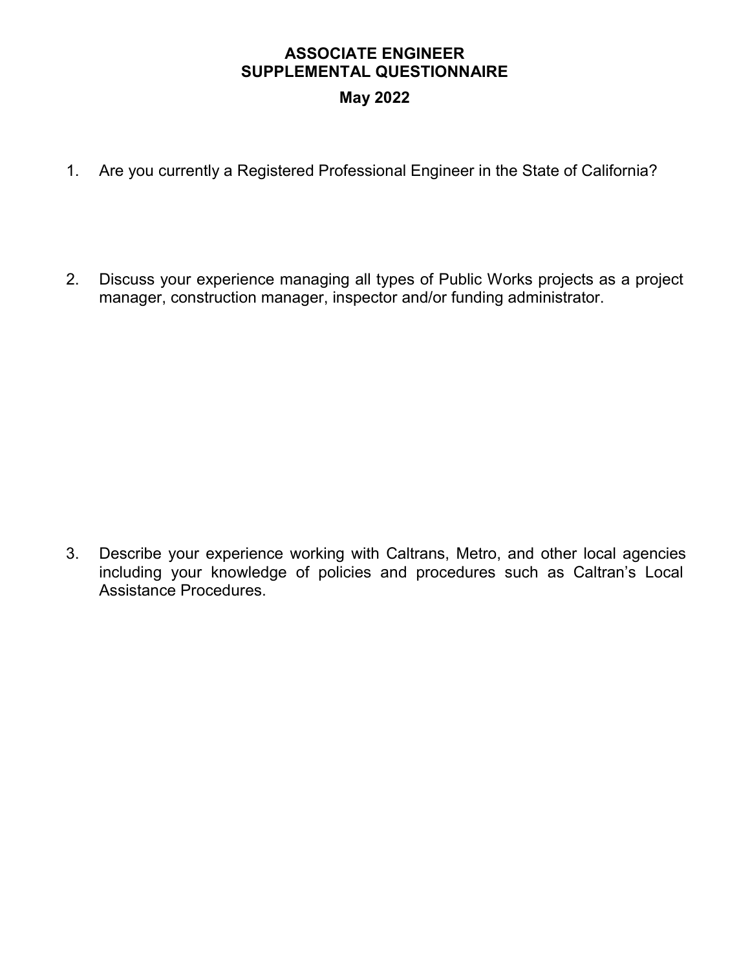### **ASSOCIATE ENGINEER SUPPLEMENTAL QUESTIONNAIRE May 2022**

- 1. Are you currently a Registered Professional Engineer in the State of California?
- 2. Discuss your experience managing all types of Public Works projects as a project manager, construction manager, inspector and/or funding administrator.

3. Describe your experience working with Caltrans, Metro, and other local agencies including your knowledge of policies and procedures such as Caltran's Local Assistance Procedures.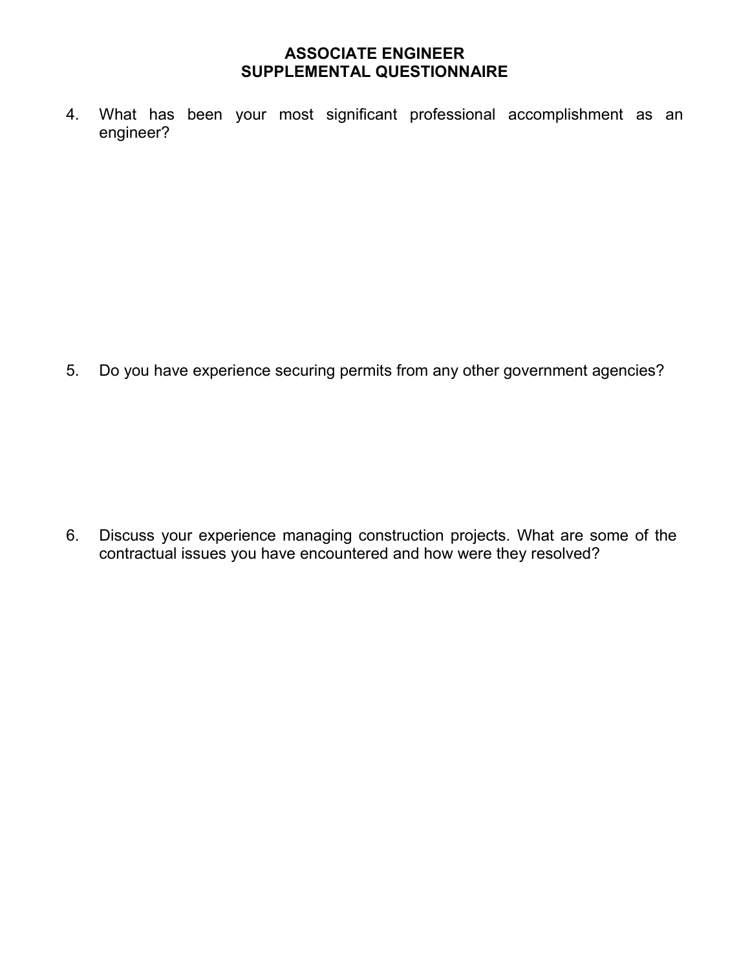#### **ASSOCIATE ENGINEER SUPPLEMENTAL QUESTIONNAIRE**

4. What has been your most significant professional accomplishment as an engineer?

5. Do you have experience securing permits from any other government agencies?

6. Discuss your experience managing construction projects. What are some of the contractual issues you have encountered and how were they resolved?